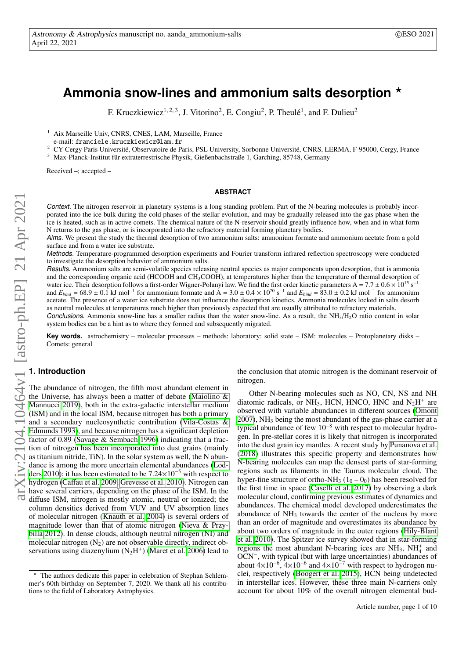# **Ammonia snow-lines and ammonium salts desorption** ?

F. Kruczkiewicz<sup>1, 2, 3</sup>, J. Vitorino<sup>2</sup>, E. Congiu<sup>2</sup>, P. Theulé<sup>1</sup>, and F. Dulieu<sup>2</sup>

<sup>1</sup> Aix Marseille Univ, CNRS, CNES, LAM, Marseille, France

e-mail: franciele.kruczkiewicz@lam.fr

<sup>2</sup> CY Cergy Paris Université, Observatoire de Paris, PSL University, Sorbonne Université, CNRS, LERMA, F-95000, Cergy, France

<sup>3</sup> Max-Planck-Institut für extraterrestrische Physik, Gießenbachstraße 1, Garching, 85748, Germany

Received –; accepted –

### **ABSTRACT**

Context. The nitrogen reservoir in planetary systems is a long standing problem. Part of the N-bearing molecules is probably incorporated into the ice bulk during the cold phases of the stellar evolution, and may be gradually released into the gas phase when the ice is heated, such as in active comets. The chemical nature of the N-reservoir should greatly influence how, when and in what form N returns to the gas phase, or is incorporated into the refractory material forming planetary bodies.

Aims. We present the study the thermal desorption of two ammonium salts: ammonium formate and ammonium acetate from a gold surface and from a water ice substrate.

Methods. Temperature-programmed desorption experiments and Fourier transform infrared reflection spectroscopy were conducted to investigate the desorption behavior of ammonium salts.

Results. Ammonium salts are semi-volatile species releasing neutral species as major components upon desorption, that is ammonia and the corresponding organic acid (HCOOH and CH3COOH), at temperatures higher than the temperature of thermal desorption of water ice. Their desorption follows a first-order Wigner-Polanyi law. We find the first order kinetic parameters A =  $7.7 \pm 0.6 \times 10^{15}$  s<sup>-1</sup> and  $E_{bind} = 68.9 \pm 0.1 \text{ kJ mol}^{-1}$ for ammonium formate and  $A = 3.0 \pm 0.4 \times 10^{20} \text{ s}^{-1}$  and  $E_{bind} = 83.0 \pm 0.2 \text{ kJ} \text{ mol}^{-1}$  for ammonium acetate. The presence of a water ice substrate does not influence the desorption kinetics. Ammonia molecules locked in salts desorb as neutral molecules at temperatures much higher than previously expected that are usually attributed to refractory materials.

Conclusions. Ammonia snow-line has a smaller radius than the water snow-line. As a result, the  $NH<sub>3</sub>/H<sub>2</sub>O$  ratio content in solar system bodies can be a hint as to where they formed and subsequently migrated.

**Key words.** astrochemistry – molecular processes – methods: laboratory: solid state – ISM: molecules – Protoplanetary disks – Comets: general

# **1. Introduction** arXiv:2104.10464v1 [astro-ph.EP] 21 Apr 2021

The abundance of nitrogen, the fifth most abundant element in the Universe, has always been a matter of debate [\(Maiolino &](#page-9-0) [Mannucci 2019\)](#page-9-0), both in the extra-galactic interstellar medium (ISM) and in the local ISM, because nitrogen has both a primary and a secondary nucleosynthetic contribution [\(Vila-Costas &](#page-9-1) [Edmunds 1993\)](#page-9-1), and because nitrogen has a significant depletion factor of 0.89 [\(Savage & Sembach 1996\)](#page-9-2) indicating that a fraction of nitrogen has been incorporated into dust grains (mainly as titanium nitride, TiN). In the solar system as well, the N abundance is among the more uncertain elemental abundances [\(Lod](#page-9-3)[ders 2010\)](#page-9-3); it has been estimated to be 7.24×10<sup>−</sup><sup>5</sup> with respect to hydrogen (Caff[au et al. 2009;](#page-9-4) [Grevesse et al. 2010\)](#page-9-5). Nitrogen can have several carriers, depending on the phase of the ISM. In the diffuse ISM, nitrogen is mostly atomic, neutral or ionized; the column densities derived from VUV and UV absorption lines of molecular nitrogen [\(Knauth et al. 2004\)](#page-9-6) is several orders of magnitude lower than that of atomic nitrogen [\(Nieva & Przy](#page-9-7)[billa 2012\)](#page-9-7). In dense clouds, although neutral nitrogen (NI) and molecular nitrogen  $(N_2)$  are not observable directly, indirect observations using diazenylium  $(N_2H^+)$  [\(Maret et al. 2006\)](#page-9-8) lead to

the conclusion that atomic nitrogen is the dominant reservoir of nitrogen.

Other N-bearing molecules such as NO, CN, NS and NH diatomic radicals, or NH<sub>3</sub>, HCN, HNCO, HNC and  $N_2H^+$  are observed with variable abundances in different sources [\(Omont](#page-9-9)  $2007$ ), NH<sub>3</sub> being the most abundant of the gas-phase carrier at a typical abundance of few 10<sup>−</sup><sup>8</sup> with respect to molecular hydrogen. In pre-stellar cores it is likely that nitrogen is incorporated into the dust grain icy mantles. A recent study by [Punanova et al.](#page-9-10) [\(2018\)](#page-9-10) illustrates this specific property and demonstrates how N-bearing molecules can map the densest parts of star-forming regions such as filaments in the Taurus molecular cloud. The hyper-fine structure of ortho-NH<sub>3</sub> ( $1_0 - 0_0$ ) has been resolved for the first time in space [\(Caselli et al. 2017\)](#page-9-11) by observing a dark molecular cloud, confirming previous estimates of dynamics and abundances. The chemical model developed underestimates the abundance of  $NH_3$  towards the center of the nucleus by more than an order of magnitude and overestimates its abundance by about two orders of magnitude in the outer regions [\(Hily-Blant](#page-9-12) [et al. 2010\)](#page-9-12). The Spitzer ice survey showed that in star-forming regions the most abundant N-bearing ices are  $NH<sub>3</sub>$ ,  $NH<sub>4</sub><sup>+</sup>$  and OCN<sup>−</sup> , with typical (but with large uncertainties) abundances of about  $4 \times 10^{-6}$ ,  $4 \times 10^{-6}$  and  $4 \times 10^{-7}$  with respect to hydrogen nuclei, respectively [\(Boogert et al. 2015\)](#page-9-13), HCN being undetected in interstellar ices. However, these three main N-carriers only account for about 10% of the overall nitrogen elemental bud-

<sup>?</sup> The authors dedicate this paper in celebration of Stephan Schlemmer's 60th birthday on September 7, 2020. We thank all his contributions to the field of Laboratory Astrophysics.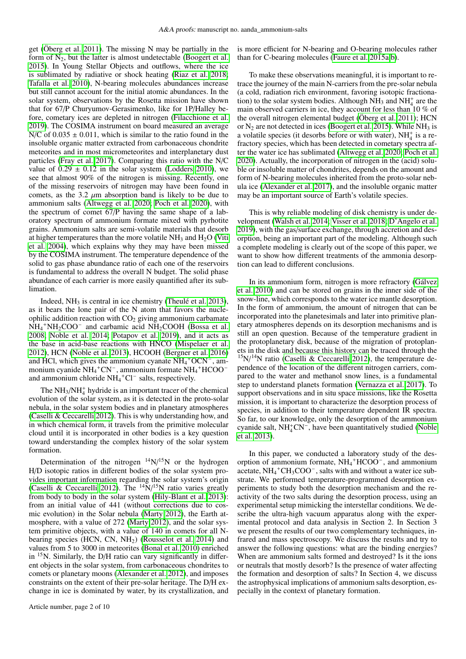get [\(Öberg et al. 2011\)](#page-9-14). The missing N may be partially in the form of  $N_2$ , but the latter is almost undetectable [\(Boogert et al.](#page-9-13) [2015\)](#page-9-13). In Young Stellar Objects and outflows, where the ice is sublimated by radiative or shock heating [\(Riaz et al. 2018;](#page-9-15) [Tafalla et al. 2010\)](#page-9-16), N-bearing molecules abundances increase but still cannot account for the initial atomic abundances. In the solar system, observations by the Rosetta mission have shown that for 67/P Churyumov-Gerasimenko, like for 1P/Halley before, cometary ices are depleted in nitrogen [\(Filacchione et al.](#page-9-17) [2019\)](#page-9-17). The COSIMA instrument on board measured an average N/C of  $0.035 \pm 0.011$ , which is similar to the ratio found in the insoluble organic matter extracted from carbonaceous chondrite meteorites and in most micrometeorites and interplanetary dust particles [\(Fray et al. 2017\)](#page-9-18). Comparing this ratio with the N/C value of  $0.29 \pm 0.12$  in the solar system [\(Lodders 2010\)](#page-9-3), we see that almost 90% of the nitrogen is missing. Recently, one of the missing reservoirs of nitrogen may have been found in comets, as the 3.2  $\mu$ m absorption band is likely to be due to ammonium salts [\(Altwegg et al. 2020;](#page-9-19) [Poch et al. 2020\)](#page-9-20), with the spectrum of comet 67/P having the same shape of a laboratory spectrum of ammonium formate mixed with pyrhotite grains. Ammonium salts are semi-volatile materials that desorb at higher temperatures than the more volatile  $NH_3$  and  $H_2O$  [\(Viti](#page-9-21) [et al. 2004\)](#page-9-21), which explains why they may have been missed by the COSIMA instrument. The temperature dependence of the solid to gas phase abundance ratio of each one of the reservoirs is fundamental to address the overall N budget. The solid phase abundance of each carrier is more easily quantified after its sublimation.

Indeed,  $NH<sub>3</sub>$  is central in ice chemistry [\(Theulé et al. 2013\)](#page-9-22), as it bears the lone pair of the N atom that favors the nucleophilic addition reaction with  $CO<sub>2</sub>$  giving ammonium carbamate  $NH_4$ <sup>+</sup>NH<sub>2</sub>COO<sup>-</sup> and carbamic acid NH<sub>2</sub>COOH [\(Bossa et al.](#page-9-23) [2008;](#page-9-23) [Noble et al. 2014;](#page-9-24) [Potapov et al. 2019\)](#page-9-25), and it acts as the base in acid-base reactions with HNCO [\(Mispelaer et al.](#page-9-26) [2012\)](#page-9-26), HCN [\(Noble et al. 2013\)](#page-9-27), HCOOH [\(Bergner et al. 2016\)](#page-9-28) and HCl, which gives the ammonium cyanate  $NH_4$ <sup>+</sup>OCN<sup>-</sup>, ammonium cyanide NH<sub>4</sub><sup>+</sup>CN<sup>-</sup>, ammonium formate NH<sub>4</sub><sup>+</sup>HCOO<sup>-</sup> and ammonium chloride  $NH_4$ <sup>+</sup> $Cl^-$  salts, respectively.

The  $NH<sub>3</sub>/NH<sub>4</sub><sup>+</sup>$  hydride is an important tracer of the chemical evolution of the solar system, as it is detected in the proto-solar nebula, in the solar system bodies and in planetary atmospheres [\(Caselli & Ceccarelli 2012\)](#page-9-29). This is why understanding how, and in which chemical form, it travels from the primitive molecular cloud until it is incorporated in other bodies is a key question toward understanding the complex history of the solar system formation.

Determination of the nitrogen  $^{14}N/^{15}N$  or the hydrogen H/D isotopic ratios in different bodies of the solar system provides important information regarding the solar system's origin [\(Caselli & Ceccarelli 2012\)](#page-9-29). The  $^{14}N/^{15}N$  ratio varies greatly from body to body in the solar system [\(Hily-Blant et al. 2013\)](#page-9-30): from an initial value of 441 (without corrections due to cosmic evolution) in the Solar nebula [\(Marty 2012\)](#page-9-31), the Earth atmosphere, with a value of 272 [\(Marty 2012\)](#page-9-31), and the solar system primitive objects, with a value of 140 in comets for all Nbearing species (HCN, CN, NH2) [\(Rousselot et al. 2014\)](#page-9-32) and values from 5 to 3000 in meteorites [\(Bonal et al. 2010\)](#page-9-33) enriched in <sup>15</sup>N. Similarly, the D/H ratio can vary significantly in different objects in the solar system, from carbonaceous chondrites to comets or planetary moons [\(Alexander et al. 2012\)](#page-9-34), and imposes constraints on the extent of their pre-solar heritage. The D/H exchange in ice is dominated by water, by its crystallization, and is more efficient for N-bearing and O-bearing molecules rather than for C-bearing molecules [\(Faure et al. 2015a](#page-9-35)[,b\)](#page-9-36).

To make these observations meaningful, it is important to retrace the journey of the main N-carriers from the pre-solar nebula (a cold, radiation rich environment, favoring isotopic fractionation) to the solar system bodies. Although  $\rm NH_3$  and  $\rm NH_4^+$  are the main observed carriers in ice, they account for less than 10 % of the overall nitrogen elemental budget [\(Öberg et al. 2011\)](#page-9-14); HCN or  $N_2$  are not detected in ices [\(Boogert et al. 2015\)](#page-9-13). While  $NH_3$  is a volatile species (it desorbs before or with water),  $NH_4^+$  is a refractory species, which has been detected in cometary spectra after the water ice has sublimated [\(Altwegg et al. 2020;](#page-9-19) [Poch et al.](#page-9-20) [2020\)](#page-9-20). Actually, the incorporation of nitrogen in the (acid) soluble or insoluble matter of chondrites, depends on the amount and form of N-bearing molecules inherited from the proto-solar nebula ice [\(Alexander et al. 2017\)](#page-9-37), and the insoluble organic matter may be an important source of Earth's volatile species.

This is why reliable modeling of disk chemistry is under development [\(Walsh et al. 2014;](#page-9-38) [Visser et al. 2018;](#page-9-39) [D'Angelo et al.](#page-9-40) [2019\)](#page-9-40), with the gas/surface exchange, through accretion and desorption, being an important part of the modeling. Although such a complete modeling is clearly out of the scope of this paper, we want to show how different treatments of the ammonia desorption can lead to different conclusions.

In its ammonium form, nitrogen is more refractory [\(Gálvez](#page-9-41) [et al. 2010\)](#page-9-41) and can be stored on grains in the inner side of the snow-line, which corresponds to the water ice mantle desorption. In the form of ammonium, the amount of nitrogen that can be incorporated into the planetesimals and later into primitive planetary atmospheres depends on its desorption mechanisms and is still an open question. Because of the temperature gradient in the protoplanetary disk, because of the migration of protoplanets in the disk and because this history can be traced through the  $15N/14N$  ratio [\(Caselli & Ceccarelli 2012\)](#page-9-29), the temperature dependence of the location of the different nitrogen carriers, compared to the water and methanol snow lines, is a fundamental step to understand planets formation [\(Vernazza et al. 2017\)](#page-9-42). To support observations and in situ space missions, like the Rosetta mission, it is important to characterize the desorption process of species, in addition to their temperature dependent IR spectra. So far, to our knowledge, only the desorption of the ammonium cyanide salt,  $NH<sub>4</sub><sup>+</sup>CN<sup>-</sup>$ , have been quantitatively studied [\(Noble](#page-9-27) [et al. 2013\)](#page-9-27).

In this paper, we conducted a laboratory study of the desorption of ammonium formate, NH<sub>4</sub><sup>+</sup>HCOO<sup>-</sup>, and ammonium acetate, NH<sup>4</sup> <sup>+</sup>CH3COO– , salts with and without a water ice substrate. We performed temperature-programmed desorption experiments to study both the desorption mechanism and the reactivity of the two salts during the desorption process, using an experimental setup mimicking the interstellar conditions. We describe the ultra-high vacuum apparatus along with the experimental protocol and data analysis in Section 2. In Section 3 we present the results of our two complementary techniques, infrared and mass spectroscopy. We discuss the results and try to answer the following questions: what are the binding energies? When are ammonium salts formed and destroyed? Is it the ions or neutrals that mostly desorb? Is the presence of water affecting the formation and desorption of salts? In Section 4, we discuss the astrophysical implications of ammonium salts desorption, especially in the context of planetary formation.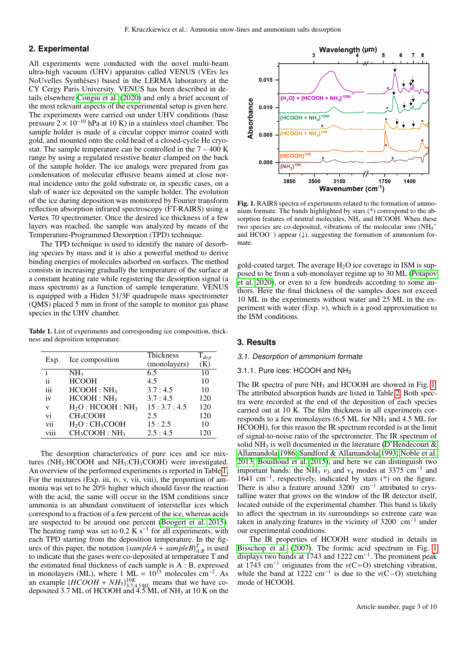# **2. Experimental**

All experiments were conducted with the novel multi-beam ultra-high vacuum (UHV) apparatus called VENUS (VErs les NoUvelles Synthèses) based in the LERMA laboratory at the CY Cergy Paris University. VENUS has been described in details elsewhere [Congiu et al.](#page-9-43) [\(2020\)](#page-9-43) and only a brief account of the most relevant aspects of the experimental setup is given here. The experiments were carried out under UHV conditions (base pressure  $2 \times 10^{-10}$  hPa at 10 K) in a stainless steel chamber. The sample holder is made of a circular copper mirror coated with gold, and mounted onto the cold head of a closed-cycle He cryostat. The sample temperature can be controlled in the  $7 - 400$  K range by using a regulated resistive heater clamped on the back of the sample holder. The ice analogs were prepared from gas condensation of molecular effusive beams aimed at close normal incidence onto the gold substrate or, in specific cases, on a slab of water ice deposited on the sample holder. The evolution of the ice during deposition was monitored by Fourier transform reflection absorption infrared spectroscopy (FT-RAIRS) using a Vertex 70 spectrometer. Once the desired ice thickness of a few layers was reached, the sample was analyzed by means of the Temperature-Programmed Desorption (TPD) technique.

The TPD technique is used to identify the nature of desorbing species by mass and it is also a powerful method to derive binding energies of molecules adsorbed on surfaces. The method consists in increasing gradually the temperature of the surface at a constant heating rate while registering the desorption signal (a mass spectrum) as a function of sample temperature. VENUS is equipped with a Hiden 51/3F quadrupole mass spectrometer (QMS) placed 5 mm in front of the sample to monitor gas phase species in the UHV chamber.

<span id="page-2-0"></span>Table 1. List of experiments and corresponding ice composition, thickness and deposition temperature.

| Exp. | Ice composition                       | Thickness<br>(monolayers) | $T_{dep}$<br>(K) |
|------|---------------------------------------|---------------------------|------------------|
|      | NH <sub>3</sub>                       | 6.5                       | 10               |
| ii   | <b>HCOOH</b>                          | 4.5                       | 10               |
| iii  | HCOOH : NH <sub>3</sub>               | 3.7:4.5                   | 10               |
| iv   | HCOOH : NH <sub>3</sub>               | 3.7:4.5                   | 120              |
| V    | $H_2O: HCOOH: NH3$                    | 15:3.7:4.5                | 120              |
| vi   | CH <sub>3</sub> COOH                  | 2.5                       | 120              |
| vii  | $H_2O:CH_3COOH$                       | 15:2.5                    | 10               |
| viii | CH <sub>3</sub> COOH: NH <sub>3</sub> | 2.5:4.5                   | 120              |

The desorption characteristics of pure ices and ice mixtures (NH<sub>3</sub>:HCOOH and NH<sub>3</sub>:CH<sub>3</sub>COOH) were investigated. An overview of the performed experiments is reported in Table [1.](#page-2-0) For the mixtures (Exp. iii, iv, v, vii, viii), the proportion of ammonia was set to be 20% higher which should favor the reaction with the acid, the same will occur in the ISM conditions since ammonia is an abundant constituent of interstellar ices which correspond to a fraction of a few percent of the ice, whereas acids are suspected to be around one percent [\(Boogert et al. 2015\)](#page-9-13). The heating ramp was set to 0.2  $\tilde{K}$  s<sup>-1</sup> for all experiments, with each TPD starting from the deposition temperature. In the figures of this paper, the notation  $\{sampleA + sampleB\}_{A:B}^T$  is used to indicate that the gases were co-deposited at temperature T and the estimated final thickness of each sample is A : B, expressed in monolayers (ML), where 1 ML =  $10^{15}$  molecules cm<sup>-2</sup>. As an example  $\{HCOOH + NH_3\}_{3.7,4.5ML}^{10K}$  means that we have co-<br>deposited 3.7 ML of HCOOH and 4.5 ML of NH<sub>3</sub> at 10 K on the



<span id="page-2-1"></span>Fig. 1. RAIRS spectra of experiments related to the formation of ammonium formate. The bands highlighted by stars (\*) correspond to the absorption features of neutral molecules,  $NH<sub>3</sub>$  and HCOOH. When these two species are co-deposited, vibrations of the molecular ions  $(NH<sub>4</sub><sup>+</sup>)$ and  $\text{HCOO}^-$ ) appear ( $\downarrow$ ), suggesting the formation of ammonium formate.

gold-coated target. The average  $H_2O$  ice coverage in ISM is supposed to be from a sub-monolayer regime up to 30 ML [\(Potapov](#page-9-44) [et al. 2020\)](#page-9-44), or even to a few hundreds according to some authors. Here the final thickness of the samples does not exceed 10 ML in the experiments without water and 25 ML in the experiment with water (Exp. v), which is a good approximation to the ISM conditions.

### **3. Results**

### 3.1. Desorption of ammonium formate

### 3.1.1. Pure ices:  $HCOOH$  and  $NH<sub>3</sub>$

The IR spectra of pure  $NH_3$  and HCOOH are showed in Fig. [1.](#page-2-1) The attributed absorption bands are listed in Table [2.](#page-3-0) Both spectra were recorded at the end of the deposition of each species carried out at 10 K. The film thickness in all experiments corresponds to a few monolayers  $(6.5 \text{ ML}$  for NH<sub>3</sub> and 4.5 ML for HCOOH), for this reason the IR spectrum recorded is at the limit of signal-to-noise ratio of the spectrometer. The IR spectrum of solid NH<sub>3</sub> is well documented in the literature (D'Hendecourt  $\&$ [Allamandola 1986;](#page-9-45) [Sandford & Allamandola 1993;](#page-9-46) [Noble et al.](#page-9-27) [2013;](#page-9-27) [Bouilloud et al. 2015\)](#page-9-47), and here we can distinguish two important bands: the NH<sub>3</sub>  $v_3$  and  $v_4$  modes at 3375 cm<sup>-1</sup> and 1641 cm<sup>-1</sup> respectively indicated by stars (\*) on the figure 1641 cm<sup>−</sup><sup>1</sup> , respectively, indicated by stars (\*) on the figure. There is also a feature around 3200 cm<sup>−</sup><sup>1</sup> attributed to crystalline water that grows on the window of the IR detector itself, located outside of the experimental chamber. This band is likely to affect the spectrum in its surroundings so extreme care was taken in analyzing features in the vicinity of 3200 cm<sup>−</sup><sup>1</sup> under our experimental conditions.

The IR properties of HCOOH were studied in details in [Bisschop et al.](#page-9-48) [\(2007\)](#page-9-48). The formic acid spectrum in Fig. [1](#page-2-1) displays two bands at 1743 and 1222 cm<sup>-1</sup>. The prominent peak at  $1743 \text{ cm}^{-1}$  originates from the  $v(C=O)$  stretching vibration, while the band at 1222 cm<sup>-1</sup> is due to the  $v(C-O)$  stretching mode of HCOOH mode of HCOOH.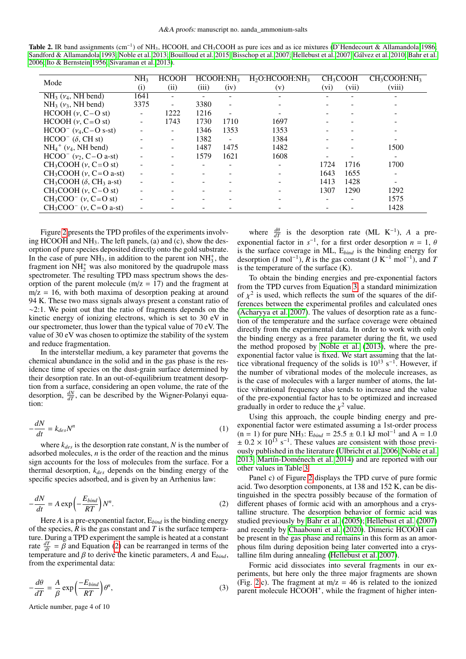<span id="page-3-0"></span>

| <b>Table 2.</b> IR band assignments (cm <sup>-1</sup> ) of NH <sub>3</sub> , HCOOH, and CH <sub>3</sub> COOH as pure ices and as ice mixtures (D'Hendecourt & Allamandola 1986; |
|---------------------------------------------------------------------------------------------------------------------------------------------------------------------------------|
| Sandford & Allamandola 1993; Noble et al. 2013; Bouilloud et al. 2015; Bisschop et al. 2007; Hellebust et al. 2007; Gálvez et al. 2010; Bahr et al.                             |
| 2006; Ito & Bernstein 1956; Sivaraman et al. 2013).                                                                                                                             |

| Mode                                          | NH <sub>3</sub> | <b>HCOOH</b> |       | HCOOH:NH <sub>3</sub>    | $H2O$ :HCOOH:NH <sub>3</sub> |         | CH <sub>3</sub> COOH | CH <sub>3</sub> COOH:NH <sub>3</sub> |
|-----------------------------------------------|-----------------|--------------|-------|--------------------------|------------------------------|---------|----------------------|--------------------------------------|
|                                               | (i)             | (ii)         | (iii) | (iv)                     | (v)                          | $(v_i)$ | (vii)                | (viii)                               |
| $NH3$ ( $v4$ , NH bend)                       | 1641            |              |       |                          |                              |         |                      |                                      |
| $NH3$ ( $v3$ , NH bend)                       | 3375            |              | 3380  | $\overline{\phantom{0}}$ |                              |         |                      |                                      |
| $HCOOH (v, C-O st)$                           |                 | 1222         | 1216  | -                        | $\overline{\phantom{0}}$     |         |                      |                                      |
| $HCOOH (v, C=O st)$                           |                 | 1743         | 1730  | 1710                     | 1697                         |         |                      |                                      |
| $HCOO^{-}$ ( $v_4$ , C – O s-st)              |                 |              | 1346  | 1353                     | 1353                         |         |                      |                                      |
| $HCOO^-$ ( $\delta$ , CH st)                  |                 |              | 1382  | $\overline{\phantom{a}}$ | 1384                         |         |                      |                                      |
| $NH_4$ <sup>+</sup> ( $\nu_4$ , NH bend)      |                 |              | 1487  | 1475                     | 1482                         |         |                      | 1500                                 |
| $HCOO^{-}$ ( $v_2$ , C-O a-st)                |                 |              | 1579  | 1621                     | 1608                         |         |                      |                                      |
| $CH_3COOH (v, C=O st)$                        |                 |              |       |                          |                              | 1724    | 1716                 | 1700                                 |
| $CH_3COOH$ (v, $C=O$ a-st)                    |                 |              |       |                          |                              | 1643    | 1655                 |                                      |
| $CH_3COOH$ ( $\delta$ , CH <sub>3</sub> a-st) |                 |              |       |                          |                              | 1413    | 1428                 |                                      |
| $CH_3COOH (v, C-O st)$                        |                 |              |       |                          |                              | 1307    | 1290                 | 1292                                 |
| $CH_3COO^-$ (v, C=O st)                       |                 |              |       |                          |                              | -       |                      | 1575                                 |
| $CH_3COO^{-}$ (v, C=O a-st)                   |                 |              |       |                          |                              |         |                      | 1428                                 |
|                                               |                 |              |       |                          |                              |         |                      |                                      |

Figure [2](#page-4-0) presents the TPD profiles of the experiments involving HCOOH and  $NH<sub>3</sub>$ . The left panels, (a) and (c), show the desorption of pure species deposited directly onto the gold substrate. In the case of pure  $NH_3$ , in addition to the parent ion  $NH_3^+$ , the fragment ion  $\overline{NH}_2^+$  was also monitored by the quadrupole mass spectrometer. The resulting TPD mass spectrum shows the desorption of the parent molecule  $(m/z = 17)$  and the fragment at  $m/z = 16$ , with both maxima of desorption peaking at around 94 K. These two mass signals always present a constant ratio of  $~\sim$ 2:1. We point out that the ratio of fragments depends on the kinetic energy of ionizing electrons, which is set to 30 eV in our spectrometer, thus lower than the typical value of 70 eV. The value of 30 eV was chosen to optimize the stability of the system and reduce fragmentation.

In the interstellar medium, a key parameter that governs the chemical abundance in the solid and in the gas phase is the residence time of species on the dust-grain surface determined by their desorption rate. In an out-of-equilibrium treatment desorption from a surface, considering an open volume, the rate of the desorption,  $\frac{dN}{dT}$ , can be described by the Wigner-Polanyi equation:

$$
-\frac{dN}{dt} = k_{des}N^n \tag{1}
$$

where  $k_{des}$  is the desorption rate constant,  $N$  is the number of adsorbed molecules, *n* is the order of the reaction and the minus sign accounts for the loss of molecules from the surface. For a thermal desorption, *kdes* depends on the binding energy of the specific species adsorbed, and is given by an Arrhenius law:

<span id="page-3-1"></span>
$$
-\frac{dN}{dt} = A \exp\left(-\frac{E_{bind}}{RT}\right)N^n.
$$
 (2)

Here *A* is a pre-exponential factor, E*bind* is the binding energy of the species, *R* is the gas constant and *T* is the surface temperature. During a TPD experiment the sample is heated at a constant rate  $\frac{dT}{dt} = \bar{\beta}$  and Equation [\(2\)](#page-3-1) can be rearranged in terms of the temperature and  $\beta$  to derive the kinetic parameters A and  $E_{\text{dust}}$ temperature and  $\beta$  to derive the kinetic parameters, A and  $E_{bind}$ , from the experimental data:

<span id="page-3-2"></span>
$$
-\frac{d\theta}{dT} = \frac{A}{\beta} \exp\left(\frac{-E_{bind}}{RT}\right) \theta^n,
$$
\n(3)

Article number, page 4 of 10

where  $\frac{d\theta}{dT}$  is the desorption rate (ML K<sup>-1</sup>), *A* a preexponential factor in  $s^{-1}$ , for a first order desorption  $n = 1, \theta$ <br>is the surface coverage in ML. E<sub>kind</sub> is the binding energy for is the surface coverage in ML, E*bind* is the binding energy for desorption (J mol<sup>-1</sup>), *R* is the gas constant (J K<sup>-1</sup> mol<sup>-1</sup>), and *T* is the temperature of the surface (K).

To obtain the binding energies and pre-exponential factors from the TPD curves from Equation [3,](#page-3-2) a standard minimization of  $\chi^2$  is used, which reflects the sum of the squares of the differences between the experimental profiles and calculated ones ferences between the experimental profiles and calculated ones [\(Acharyya et al. 2007\)](#page-9-53). The values of desorption rate as a function of the temperature and the surface coverage were obtained directly from the experimental data. In order to work with only the binding energy as a free parameter during the fit, we used the method proposed by [Noble et al.](#page-9-27) [\(2013\)](#page-9-27), where the preexponential factor value is fixed. We start assuming that the lattice vibrational frequency of the solids is  $10^{13}$  s<sup>-1</sup>. However, if the number of vibrational modes of the molecule increases, as is the case of molecules with a larger number of atoms, the lattice vibrational frequency also tends to increase and the value of the pre-exponential factor has to be optimized and increased gradually in order to reduce the  $\chi^2$  value.<br>
Using this approach, the couple bit

Using this approach, the couple binding energy and preexponential factor were estimated assuming a 1st-order process  $(n = 1)$  for pure NH<sub>3</sub>:  $E_{bind} = 25.5 \pm 0.1 \text{ kJ} \text{ mol}^{-1}$  and  $\hat{A} = 1.0$  $\pm$  0.2 × 10<sup>13</sup> s<sup>-1</sup>. These values are consistent with those previously published in the literature [\(Ulbricht et al. 2006;](#page-9-54) [Noble et al.](#page-9-27) [2013;](#page-9-27) [Martín-Doménech et al. 2014\)](#page-9-55) and are reported with our other values in Table [3.](#page-4-1)

Panel c) of Figure [2](#page-4-0) displays the TPD curve of pure formic acid. Two desorption components, at 138 and 152 K, can be distinguished in the spectra possibly because of the formation of different phases of formic acid with an amorphous and a crystalline structure. The desorption behavior of formic acid was studied previously by [Bahr et al.](#page-9-56) [\(2005\)](#page-9-56); [Hellebust et al.](#page-9-49) [\(2007\)](#page-9-49) and recently by [Chaabouni et al.](#page-9-57) [\(2020\)](#page-9-57). Dimeric HCOOH can be present in the gas phase and remains in this form as an amorphous film during deposition being later converted into a crystalline film during annealing [\(Hellebust et al. 2007\)](#page-9-49).

Formic acid dissociates into several fragments in our experiments, but here only the three major fragments are shown (Fig. [2.](#page-4-0)c). The fragment at  $m/z = 46$  is related to the ionized parent molecule HCOOH<sup>+</sup>, while the fragment of higher inten-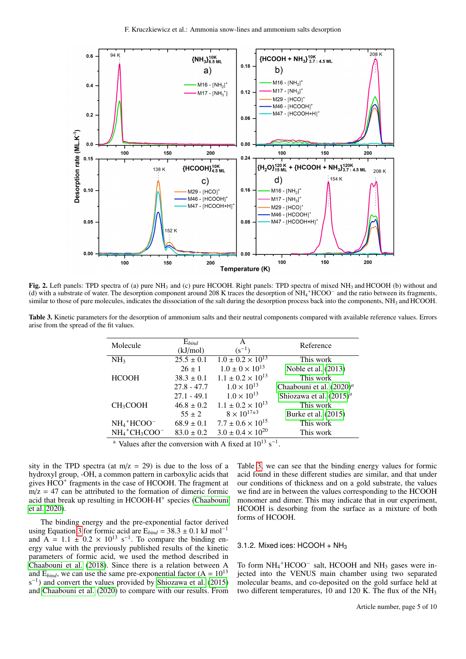

<span id="page-4-0"></span>Fig. 2. Left panels: TPD spectra of (a) pure NH<sub>3</sub> and (c) pure HCOOH. Right panels: TPD spectra of mixed NH<sub>3</sub> and HCOOH (b) without and (d) with a substrate of water. The desorption component around 208 K traces the desorption of NH<sub>4</sub>+HCOO<sup>-</sup> and the ratio between its fragments, similar to those of pure molecules, indicates the dissociation of the salt during the desorption process back into the components,  $NH<sub>3</sub>$  and HCOOH.

<span id="page-4-1"></span>Table 3. Kinetic parameters for the desorption of ammonium salts and their neutral components compared with available reference values. Errors arise from the spread of the fit values.

| Molecule                                             | $E_{bind}$<br>(kJ/mol) | A<br>$(s^{-1})$              | Reference                    |
|------------------------------------------------------|------------------------|------------------------------|------------------------------|
| NH <sub>3</sub>                                      | $25.5 \pm 0.1$         | $1.0 \pm 0.2 \times 10^{13}$ | This work                    |
|                                                      | $26 \pm 1$             | $1.0 \pm 0 \times 10^{13}$   | Noble et al. (2013)          |
| <b>HCOOH</b>                                         | $38.3 \pm 0.1$         | $1.1 \pm 0.2 \times 10^{13}$ | This work                    |
|                                                      | $27.8 - 47.7$          | $1.0 \times 10^{13}$         | Chaabouni et al. $(2020)^a$  |
|                                                      | $27.1 - 49.1$          | $1.0 \times 10^{13}$         | Shiozawa et al. $(2015)^{a}$ |
| CH <sub>3</sub> COOH                                 | $46.8 \pm 0.2$         | $1.1 \pm 0.2 \times 10^{13}$ | This work                    |
|                                                      | $55 \pm 2$             | $8 \times 10^{17 \pm 3}$     | Burke et al. (2015)          |
| $NH_4$ <sup>+</sup> HCOO <sup>-</sup>                | $68.9 \pm 0.1$         | $7.7 \pm 0.6 \times 10^{15}$ | This work                    |
| $NH_4$ <sup>+</sup> CH <sub>3</sub> COO <sup>-</sup> | $83.0 \pm 0.2$         | $3.0 \pm 0.4 \times 10^{20}$ | This work                    |
|                                                      |                        |                              |                              |

<sup>a</sup> Values after the conversion with A fixed at  $10^{13}$  s<sup>-1</sup>.

sity in the TPD spectra (at  $m/z = 29$ ) is due to the loss of a hydroxyl group, -OH, a common pattern in carboxylic acids that gives  $\overline{HCO}^+$  fragments in the case of HCOOH. The fragment at  $m/z = 47$  can be attributed to the formation of dimeric formic acid that break up resulting in HCOOH-H<sup>+</sup> species [\(Chaabouni](#page-9-57) [et al. 2020\)](#page-9-57).

The binding energy and the pre-exponential factor derived using Equation [3](#page-3-2) for formic acid are  $E_{bind} = 38.3 \pm 0.1 \text{ kJ mol}^{-1}$ and  $A = 1.1 \pm 0.2 \times 10^{13} \text{ s}^{-1}$ . To compare the binding energy value with the previously published results of the kinetic parameters of formic acid, we used the method described in [Chaabouni et al.](#page-9-60) [\(2018\)](#page-9-60). Since there is a relation between A and  $E_{bind}$ , we can use the same pre-exponential factor  $(A = 10^{13})$ s<sup>-1</sup>) and convert the values provided by [Shiozawa et al.](#page-9-58) [\(2015\)](#page-9-58) and [Chaabouni et al.](#page-9-57) [\(2020\)](#page-9-57) to compare with our results. From Table [3,](#page-4-1) we can see that the binding energy values for formic acid found in these different studies are similar, and that under our conditions of thickness and on a gold substrate, the values we find are in between the values corresponding to the HCOOH monomer and dimer. This may indicate that in our experiment, HCOOH is desorbing from the surface as a mixture of both forms of HCOOH.

### 3.1.2. Mixed ices:  $HCOOH + NH<sub>3</sub>$

To form NH<sub>4</sub><sup>+</sup>HCOO<sup>-</sup> salt, HCOOH and NH<sub>3</sub> gases were injected into the VENUS main chamber using two separated molecular beams, and co-deposited on the gold surface held at two different temperatures, 10 and 120 K. The flux of the  $NH<sub>3</sub>$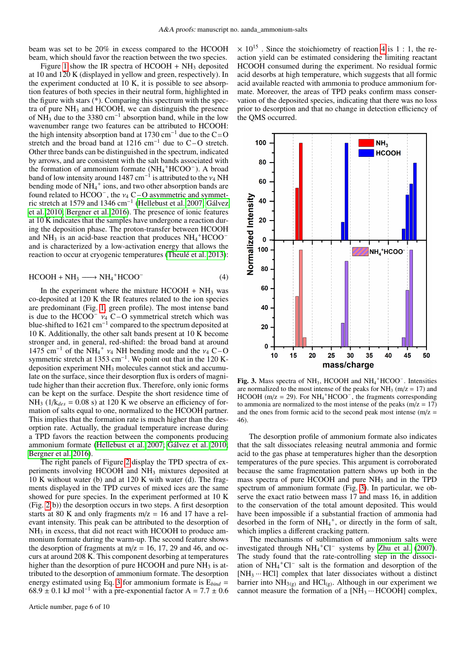beam was set to be 20% in excess compared to the HCOOH beam, which should favor the reaction between the two species.

Figure [1](#page-2-1) show the IR spectra of  $HCOOH + NH_3$  deposited at 10 and 120 K (displayed in yellow and green, respectively). In the experiment conducted at 10 K, it is possible to see absorption features of both species in their neutral form, highlighted in the figure with stars (\*). Comparing this spectrum with the spectra of pure  $NH<sub>3</sub>$  and HCOOH, we can distinguish the presence of NH<sub>3</sub> due to the 3380 cm<sup>-1</sup> absorption band, while in the low wavenumber range two features can be attributed to HCOOH: the high intensity absorption band at 1730 cm<sup>-1</sup> due to the C=O stretch and the broad band at 1216 cm−<sup>1</sup> due to C – O stretch. Other three bands can be distinguished in the spectrum, indicated by arrows, and are consistent with the salt bands associated with the formation of ammonium formate (NH<sub>4</sub><sup>+</sup>HCOO<sup>-</sup>). A broad band of low intensity around 1487 cm<sup>-1</sup> is attributed to the  $v_4$  NH bending mode of NH<sub>4</sub><sup>+</sup> ions and two other absorption bands are bending mode of  $NH_4^+$  ions, and two other absorption bands are found related to HCOO<sup>-</sup>, the  $v_4$  C-O asymmetric and symmetric stretch at 1579 and 1346 cm<sup>-1</sup> (Hellebust et al. 2007: Gálvez ric stretch at 1579 and 1346 cm−<sup>1</sup> [\(Hellebust et al. 2007;](#page-9-49) [Gálvez](#page-9-41) [et al. 2010;](#page-9-41) [Bergner et al. 2016\)](#page-9-28). The presence of ionic features at 10 K indicates that the samples have undergone a reaction during the deposition phase. The proton-transfer between HCOOH and NH<sub>3</sub> is an acid-base reaction that produces  $NH_4$ <sup>+</sup>HCOO<sup>-</sup> and is characterized by a low-activation energy that allows the reaction to occur at cryogenic temperatures [\(Theulé et al. 2013\)](#page-9-22):

<span id="page-5-0"></span>
$$
HCOOH + NH_3 \longrightarrow NH_4^+ HCOO^- \tag{4}
$$

In the experiment where the mixture  $HCOOH + NH<sub>3</sub>$  was co-deposited at 120 K the IR features related to the ion species are predominant (Fig. [1,](#page-2-1) green profile). The most intense band is due to the HCOO<sup>–</sup>  $v_4$  C–O symmetrical stretch which was blue-shifted to 1621 cm<sup>-1</sup> compared to the spectrum deposited at 10 K. Additionally, the other salt bands present at 10 K become stronger and, in general, red-shifted: the broad band at around  $1475 \text{ cm}^{-1}$  of the NH<sub>4</sub><sup>+</sup>  $v_4$  NH bending mode and the  $v_4$  C – O symmetric stretch at 1353 cm<sup>-1</sup>. We point out that in the 120 Ksymmetric stretch at 1353 cm<sup>-1</sup>. We point out that in the 120 Kdeposition experiment NH<sup>3</sup> molecules cannot stick and accumulate on the surface, since their desorption flux is orders of magnitude higher than their accretion flux. Therefore, only ionic forms can be kept on the surface. Despite the short residence time of NH<sub>3</sub> ( $1/k_{des} = 0.08$  s) at 120 K we observe an efficiency of formation of salts equal to one, normalized to the HCOOH partner. This implies that the formation rate is much higher than the desorption rate. Actually, the gradual temperature increase during a TPD favors the reaction between the components producing ammonium formate [\(Hellebust et al. 2007;](#page-9-49) [Gálvez et al. 2010;](#page-9-41) [Bergner et al. 2016\)](#page-9-28).

The right panels of Figure [2](#page-4-0) display the TPD spectra of experiments involving HCOOH and NH<sup>3</sup> mixtures deposited at 10 K without water (b) and at 120 K with water (d). The fragments displayed in the TPD curves of mixed ices are the same showed for pure species. In the experiment performed at 10 K (Fig. [2\(](#page-4-0)b)) the desorption occurs in two steps. A first desorption starts at 80 K and only fragments  $m/z = 16$  and 17 have a relevant intensity. This peak can be attributed to the desorption of NH<sub>3</sub> in excess, that did not react with HCOOH to produce ammonium formate during the warm-up. The second feature shows the desorption of fragments at  $m/z = 16$ , 17, 29 and 46, and occurs at around 208 K. This component desorbing at temperatures higher than the desorption of pure HCOOH and pure NH<sub>3</sub> is attributed to the desorption of ammonium formate. The desorption energy estimated using Eq. [3](#page-3-2) for ammonium formate is  $E_{bind}$  =  $68.9 \pm 0.1$  kJ mol<sup>-1</sup> with a pre-exponential factor A =  $7.7 \pm 0.6$   $\times$  10<sup>15</sup>. Since the stoichiometry of reaction [4](#page-5-0) is 1 : 1, the reaction yield can be estimated considering the limiting reactant HCOOH consumed during the experiment. No residual formic acid desorbs at high temperature, which suggests that all formic acid available reacted with ammonia to produce ammonium formate. Moreover, the areas of TPD peaks confirm mass conservation of the deposited species, indicating that there was no loss prior to desorption and that no change in detection efficiency of the QMS occurred.



<span id="page-5-1"></span>Fig. 3. Mass spectra of NH<sub>3</sub>, HCOOH and NH<sub>4</sub><sup>+</sup>HCOO<sup>-</sup>. Intensities are normalized to the most intense of the peaks for  $NH_3$  (m/z = 17) and HCOOH ( $m/z = 29$ ). For  $NH_4$ <sup>+</sup>HCOO<sup>-</sup>, the fragments corresponding to ammonia are normalized to the most intense of the peaks  $(m/z = 17)$ and the ones from formic acid to the second peak most intense  $(m/z =$ 46).

The desorption profile of ammonium formate also indicates that the salt dissociates releasing neutral ammonia and formic acid to the gas phase at temperatures higher than the desorption temperatures of the pure species. This argument is corroborated because the same fragmentation pattern shows up both in the mass spectra of pure HCOOH and pure  $NH<sub>3</sub>$  and in the TPD spectrum of ammonium formate (Fig. [3\)](#page-5-1). In particular, we observe the exact ratio between mass 17 and mass 16, in addition to the conservation of the total amount deposited. This would have been impossible if a substantial fraction of ammonia had desorbed in the form of  $NH_4^+$ , or directly in the form of salt, which implies a different cracking pattern.

The mechanisms of sublimation of ammonium salts were investigated through  $NH_4$ <sup>+</sup>Cl<sup>-</sup> systems by [Zhu et al.](#page-9-61) [\(2007\)](#page-9-61). The study found that the rate-controlling step in the dissociation of  $NH_4$ <sup>+</sup>Cl<sup>-</sup> salt is the formation and desorption of the [NH<sup>3</sup> ··· HCl] complex that later dissociates without a distinct barrier into  $NH_{3(g)}$  and  $HCl_{(g)}$ . Although in our experiment we cannot measure the formation of a  $[NH_3 \cdots HCOOH]$  complex,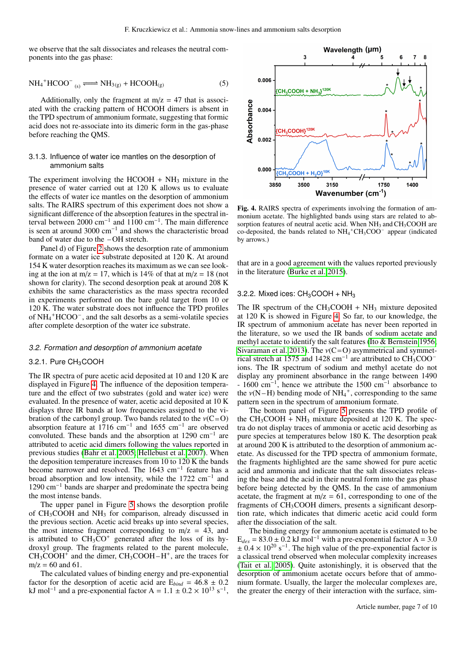we observe that the salt dissociates and releases the neutral components into the gas phase:

$$
NH_4^+HCOO^-_{(s)} \Longleftrightarrow NH_{3(g)} + HCOOH_{(g)}
$$
 (5)

Additionally, only the fragment at  $m/z = 47$  that is associated with the cracking pattern of HCOOH dimers is absent in the TPD spectrum of ammonium formate, suggesting that formic acid does not re-associate into its dimeric form in the gas-phase before reaching the QMS.

### 3.1.3. Influence of water ice mantles on the desorption of ammonium salts

The experiment involving the HCOOH  $+$  NH<sub>3</sub> mixture in the presence of water carried out at 120 K allows us to evaluate the effects of water ice mantles on the desorption of ammonium salts. The RAIRS spectrum of this experiment does not show a significant difference of the absorption features in the spectral interval between 2000 cm<sup>-1</sup> and 1100 cm<sup>-1</sup>. The main difference is seen at around 3000 cm−<sup>1</sup> and shows the characteristic broad band of water due to the – OH stretch.

Panel d) of Figure [2](#page-4-0) shows the desorption rate of ammonium formate on a water ice substrate deposited at 120 K. At around 154 K water desorption reaches its maximum as we can see looking at the ion at m/z = 17, which is 14% of that at m/z = 18 (not shown for clarity). The second desorption peak at around 208 K exhibits the same characteristics as the mass spectra recorded in experiments performed on the bare gold target from 10 or 120 K. The water substrate does not influence the TPD profiles of NH<sup>4</sup> <sup>+</sup>HCOO– , and the salt desorbs as a semi-volatile species after complete desorption of the water ice substrate.

### 3.2. Formation and desorption of ammonium acetate

### 3.2.1. Pure CH<sub>3</sub>COOH

The IR spectra of pure acetic acid deposited at 10 and 120 K are displayed in Figure [4.](#page-6-0) The influence of the deposition temperature and the effect of two substrates (gold and water ice) were evaluated. In the presence of water, acetic acid deposited at 10 K displays three IR bands at low frequencies assigned to the vibration of the carbonyl group. Two bands related to the  $v(C=O)$ absorption feature at 1716  $cm^{-1}$  and 1655  $cm^{-1}$  are observed convoluted. These bands and the absorption at 1290 cm<sup>−</sup><sup>1</sup> are attributed to acetic acid dimers following the values reported in previous studies [\(Bahr et al. 2005;](#page-9-56) [Hellebust et al. 2007\)](#page-9-49). When the deposition temperature increases from 10 to 120 K the bands become narrower and resolved. The 1643 cm<sup>−</sup><sup>1</sup> feature has a broad absorption and low intensity, while the 1722 cm<sup>−</sup><sup>1</sup> and 1290 cm<sup>−</sup><sup>1</sup> bands are sharper and predominate the spectra being the most intense bands.

The upper panel in Figure [5](#page-7-0) shows the desorption profile of  $CH<sub>3</sub>COOH$  and  $NH<sub>3</sub>$  for comparison, already discussed in the previous section. Acetic acid breaks up into several species, the most intense fragment corresponding to  $m/z = 43$ , and is attributed to  $CH<sub>3</sub>CO<sup>+</sup>$  generated after the loss of its hydroxyl group. The fragments related to the parent molecule,  $CH_3COOH^+$  and the dimer,  $CH_3COOH-H^+$ , are the traces for  $m/z = 60$  and 61.

The calculated values of binding energy and pre-exponential factor for the desorption of acetic acid are  $E_{bind} = 46.8 \pm 0.2$ kJ mol<sup>-1</sup> and a pre-exponential factor A =  $1.1 \pm 0.2 \times 10^{13}$  s<sup>-1</sup>,



<span id="page-6-0"></span>Fig. 4. RAIRS spectra of experiments involving the formation of ammonium acetate. The highlighted bands using stars are related to absorption features of neutral acetic acid. When  $NH<sub>3</sub>$  and  $CH<sub>3</sub>COOH$  are co-deposited, the bands related to NH<sub>4</sub><sup>+</sup>CH<sub>3</sub>COO<sup>-</sup> appear (indicated by arrows.)

that are in a good agreement with the values reported previously in the literature [\(Burke et al. 2015\)](#page-9-59).

### 3.2.2. Mixed ices:  $CH<sub>3</sub>COOH + NH<sub>3</sub>$

The IR spectrum of the  $CH_3COOH + NH_3$  mixture deposited at 120 K is showed in Figure [4.](#page-6-0) So far, to our knowledge, the IR spectrum of ammonium acetate has never been reported in the literature, so we used the IR bands of sodium acetate and methyl acetate to identify the salt features [\(Ito & Bernstein 1956;](#page-9-51) [Sivaraman et al. 2013\)](#page-9-52). The  $v(C=O)$  asymmetrical and symmetrical stretch at 1575 and 1428 cm<sup>-1</sup> are attributed to  $CH<sub>3</sub>COO<sup>-1</sup>$ ions. The IR spectrum of sodium and methyl acetate do not display any prominent absorbance in the range between 1490 - 1600 cm<sup>-1</sup>, hence we attribute the 1500 cm<sup>-1</sup> absorbance to the  $v(N-H)$  bending mode of  $NH_4^+$ , corresponding to the same<br>pattern seen in the spectrum of ammonium formate pattern seen in the spectrum of ammonium formate.

The bottom panel of Figure [5](#page-7-0) presents the TPD profile of the  $CH_3COOH + NH_3$  mixture deposited at 120 K. The spectra do not display traces of ammonia or acetic acid desorbing as pure species at temperatures below 180 K. The desorption peak at around 200 K is attributed to the desorption of ammonium acetate. As discussed for the TPD spectra of ammonium formate, the fragments highlighted are the same showed for pure acetic acid and ammonia and indicate that the salt dissociates releasing the base and the acid in their neutral form into the gas phase before being detected by the QMS. In the case of ammonium acetate, the fragment at  $m/z = 61$ , corresponding to one of the fragments of CH3COOH dimers, presents a significant desorption rate, which indicates that dimeric acetic acid could form after the dissociation of the salt.

The binding energy for ammonium acetate is estimated to be  $E_{des} = 83.0 \pm 0.2$  kJ mol<sup>-1</sup> with a pre-exponential factor A = 3.0  $\pm$  0.4  $\times$  10<sup>20</sup> s<sup>-1</sup>. The high value of the pre-exponential factor is a classical trend observed when molecular complexity increases [\(Tait et al. 2005\)](#page-9-62). Quite astonishingly, it is observed that the desorption of ammonium acetate occurs before that of ammonium formate. Usually, the larger the molecular complexes are, the greater the energy of their interaction with the surface, sim-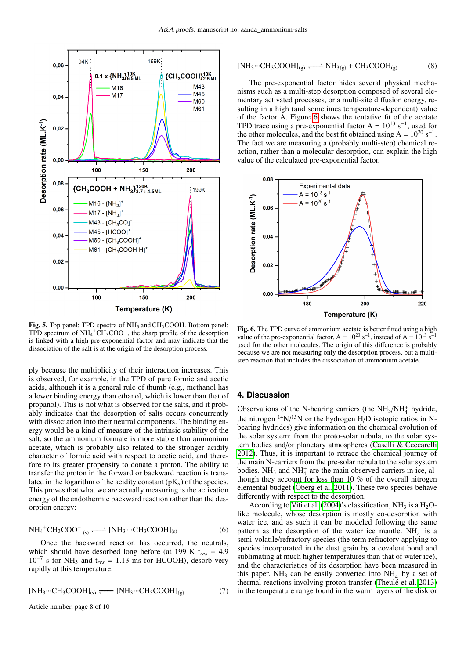

<span id="page-7-0"></span>Fig. 5. Top panel: TPD spectra of NH<sub>3</sub> and CH<sub>3</sub>COOH. Bottom panel: TPD spectrum of  $NH_4$ <sup>+</sup> $CH_3COO^-$ , the sharp profile of the desorption is linked with a high pre-exponential factor and may indicate that the dissociation of the salt is at the origin of the desorption process.

ply because the multiplicity of their interaction increases. This is observed, for example, in the TPD of pure formic and acetic acids, although it is a general rule of thumb (e.g., methanol has a lower binding energy than ethanol, which is lower than that of propanol). This is not what is observed for the salts, and it probably indicates that the desorption of salts occurs concurrently with dissociation into their neutral components. The binding energy would be a kind of measure of the intrinsic stability of the salt, so the ammonium formate is more stable than ammonium acetate, which is probably also related to the stronger acidity character of formic acid with respect to acetic acid, and therefore to its greater propensity to donate a proton. The ability to transfer the proton in the forward or backward reaction is translated in the logarithm of the acidity constant  $(pK_a)$  of the species. This proves that what we are actually measuring is the activation energy of the endothermic backward reaction rather than the desorption energy:

$$
NH_4^+CH_3COO^- \underset{(s)}{\Longleftarrow} [NH_3 \cdots CH_3COOH]_{(s)}
$$
(6)

Once the backward reaction has occurred, the neutrals, which should have desorbed long before (at 199 K t*res* = 4.9  $10^{-7}$  s for NH<sub>3</sub> and t<sub>res</sub> = 1.13 ms for HCOOH), desorb very rapidly at this temperature:

$$
[NH_3\cdots CH_3COOH]_{(s)} \Longleftrightarrow [NH_3\cdots CH_3COOH]_{(g)} \tag{7}
$$

Article number, page 8 of 10

$$
[NH_3 \cdots CH_3COOH]_{(g)} \Longleftrightarrow NH_{3(g)} + CH_3COOH_{(g)}
$$
(8)

The pre-exponential factor hides several physical mechanisms such as a multi-step desorption composed of several elementary activated processes, or a multi-site diffusion energy, resulting in a high (and sometimes temperature-dependent) value of the factor A. Figure [6](#page-7-1) shows the tentative fit of the acetate TPD trace using a pre-exponential factor  $A = 10^{13} s^{-1}$ , used for the other molecules, and the best fit obtained using  $A = 10^{20} s^{-1}$ . The fact we are measuring a (probably multi-step) chemical reaction, rather than a molecular desorption, can explain the high value of the calculated pre-exponential factor.



<span id="page-7-1"></span>Fig. 6. The TPD curve of ammonium acetate is better fitted using a high value of the pre-exponential factor,  $A = 10^{20} s^{-1}$ , instead of  $A = 10^{13} s^{-1}$ used for the other molecules. The origin of this difference is probably because we are not measuring only the desorption process, but a multistep reaction that includes the dissociation of ammonium acetate.

## **4. Discussion**

Observations of the N-bearing carriers (the  $NH<sub>3</sub>/NH<sub>4</sub><sup>+</sup>$  hydride, the nitrogen  $\frac{14}{15}$ N or the hydrogen H/D isotopic ratios in Nbearing hydrides) give information on the chemical evolution of the solar system: from the proto-solar nebula, to the solar system bodies and/or planetary atmospheres [\(Caselli & Ceccarelli](#page-9-29) [2012\)](#page-9-29). Thus, it is important to retrace the chemical journey of the main N-carriers from the pre-solar nebula to the solar system bodies.  $NH_3$  and  $NH_4^+$  are the main observed carriers in ice, although they account for less than 10 % of the overall nitrogen elemental budget [\(Öberg et al. 2011\)](#page-9-14). These two species behave differently with respect to the desorption.

According to [Viti et al.](#page-9-21) [\(2004\)](#page-9-21)'s classification,  $NH_3$  is a  $H_2O$ like molecule, whose desorption is mostly co-desorption with water ice, and as such it can be modeled following the same pattern as the desorption of the water ice mantle.  $NH_4^+$  is a semi-volatile/refractory species (the term refractory applying to species incorporated in the dust grain by a covalent bond and sublimating at much higher temperatures than that of water ice), and the characteristics of its desorption have been measured in this paper. NH<sub>3</sub> can be easily converted into  $NH_4^+$  by a set of thermal reactions involving proton transfer [\(Theulé et al. 2013\)](#page-9-22) in the temperature range found in the warm layers of the disk or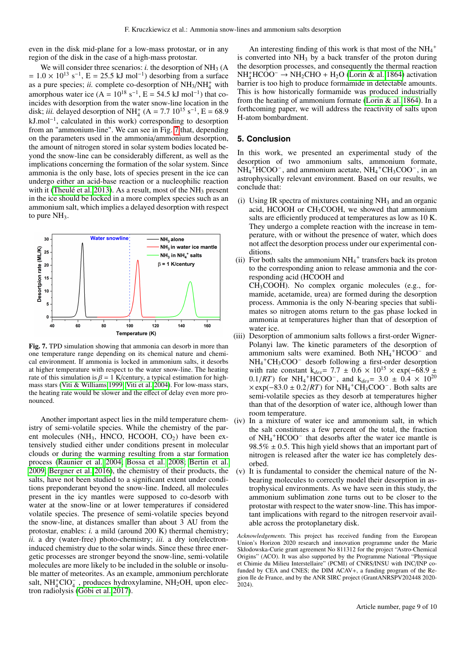even in the disk mid-plane for a low-mass protostar, or in any region of the disk in the case of a high-mass protostar.

We will consider three scenarios:  $i$ , the desorption of  $NH<sub>3</sub>$  (A  $= 1.0 \times 10^{13}$  s<sup>-1</sup>, E = 25.5 kJ mol<sup>-1</sup>) desorbing from a surface as a pure species; *ii.* complete co-desorption of  $NH<sub>3</sub>/NH<sub>4</sub><sup>+</sup>$  with amorphous water ice  $(A = 10^{18} \text{ s}^{-1}, E = 54.5 \text{ kJ} \text{ mol}^{-1})$  that coincides with desorption from the water snow-line location in the disk; *iii.* delayed desorption of NH<sub>4</sub><sup>+</sup> (A = 7.7 10<sup>15</sup> s<sup>-1</sup>, E = 68.9 kJ.mol−<sup>1</sup> , calculated in this work) corresponding to desorption from an "ammonium-line". We can see in Fig. [7](#page-8-0) that, depending on the parameters used in the ammonia/ammonium desorption, the amount of nitrogen stored in solar system bodies located beyond the snow-line can be considerably different, as well as the implications concerning the formation of the solar system. Since ammonia is the only base, lots of species present in the ice can undergo either an acid-base reaction or a nucleophilic reaction with it [\(Theulé et al. 2013\)](#page-9-22). As a result, most of the  $NH<sub>3</sub>$  present in the ice should be locked in a more complex species such as an ammonium salt, which implies a delayed desorption with respect to pure  $NH<sub>3</sub>$ .



<span id="page-8-0"></span>Fig. 7. TPD simulation showing that ammonia can desorb in more than one temperature range depending on its chemical nature and chemical environment. If ammonia is locked in ammonium salts, it desorbs at higher temperature with respect to the water snow-line. The heating rate of this simulation is  $\beta = 1$  K/century, a typical estimation for high-<br>mass stars [\(Viti & Williams 1999;](#page-9-63) [Viti et al. 2004\)](#page-9-21). For low-mass stars, the heating rate would be slower and the effect of delay even more pronounced.

Another important aspect lies in the mild temperature chemistry of semi-volatile species. While the chemistry of the parent molecules (NH<sub>3</sub>, HNCO, HCOOH,  $CO<sub>2</sub>$ ) have been extensively studied either under conditions present in molecular clouds or during the warming resulting from a star formation process [\(Raunier et al. 2004;](#page-9-64) [Bossa et al. 2008;](#page-9-23) [Bertin et al.](#page-9-65) [2009;](#page-9-65) [Bergner et al. 2016\)](#page-9-28), the chemistry of their products, the salts, have not been studied to a significant extent under conditions preponderant beyond the snow-line. Indeed, all molecules present in the icy mantles were supposed to co-desorb with water at the snow-line or at lower temperatures if considered volatile species. The presence of semi-volatile species beyond the snow-line, at distances smaller than about 3 AU from the protostar, enables: *i.* a mild (around 200 K) thermal chemistry; *ii.* a dry (water-free) photo-chemistry; *iii.* a dry ion/electroninduced chemistry due to the solar winds. Since these three energetic processes are stronger beyond the snow-line, semi-volatile molecules are more likely to be included in the soluble or insoluble matter of meteorites. As an example, ammonium perchlorate salt,  $NH_4^+ClO_4^-$ , produces hydroxylamine,  $NH_2OH$ , upon electron radiolysis [\(Góbi et al. 2017\)](#page-9-66).

An interesting finding of this work is that most of the  $\mathrm{NH_4}^+$ is converted into  $NH<sub>3</sub>$  by a back transfer of the proton during the desorption processes, and consequently the thermal reaction NH<sup>+</sup><sub>4</sub>HCOO<sup>−</sup> → NH<sub>2</sub>CHO + H<sub>2</sub>O [\(Lorin & al. 1864\)](#page-9-67) activation barrier is too high to produce formamide in detectable amounts. This is how historically formamide was produced industrially from the heating of ammonium formate [\(Lorin & al. 1864\)](#page-9-67). In a forthcoming paper, we will address the reactivity of salts upon H-atom bombardment.

### **5. Conclusion**

In this work, we presented an experimental study of the desorption of two ammonium salts, ammonium formate,  $NH_4^+HCOO^-$ , and ammonium acetate,  $NH_4^+CH_3COO^-$ , in an astrophysically relevant environment. Based on our results, we conclude that:

- (i) Using IR spectra of mixtures containing  $NH<sub>3</sub>$  and an organic acid, HCOOH or CH3COOH, we showed that ammonium salts are efficiently produced at temperatures as low as 10 K. They undergo a complete reaction with the increase in temperature, with or without the presence of water, which does not affect the desorption process under our experimental conditions.
- (ii) For both salts the ammonium  $NH_4$ <sup>+</sup> transfers back its proton to the corresponding anion to release ammonia and the corresponding acid (HCOOH and CH3COOH). No complex organic molecules (e.g., formamide, acetamide, urea) are formed during the desorption process. Ammonia is the only N-bearing species that sublimates so nitrogen atoms return to the gas phase locked in ammonia at temperatures higher than that of desorption of water ice.
- (iii) Desorption of ammonium salts follows a first-order Wigner-Polanyi law. The kinetic parameters of the desorption of ammonium salts were examined. Both  $NH_4$ <sup>+</sup>HCOO<sup>-</sup> and NH<sup>4</sup> <sup>+</sup>CH3COO– desorb following a first-order desorption with rate constant k<sub>des</sub>= 7.7 ± 0.6 × 10<sup>15</sup> × exp(-68.9 ±  $0.1/RT$ ) for NH<sub>4</sub><sup>+</sup>HCOO<sup>-</sup>, and k<sub>des</sub>= 3.0  $\pm$  0.4  $\times$  10<sup>20</sup>  $\times$  exp(-83.0 + 0.2/*RT*) for NH<sub>4</sub><sup>+</sup>CH<sub>2</sub>COO<sup>-</sup> Both salts are  $\times$ exp(-83.0 ± 0.2/*RT*) for NH<sub>4</sub><sup>+</sup>CH<sub>3</sub>COO<sup>-</sup>. Both salts are<br>semi-volatile species as they desorb at temperatures higher semi-volatile species as they desorb at temperatures higher than that of the desorption of water ice, although lower than room temperature.
- (iv) In a mixture of water ice and ammonium salt, in which the salt constitutes a few percent of the total, the fraction of NH<sup>4</sup> <sup>+</sup>HCOO– that desorbs after the water ice mantle is 98.5%  $\pm$  0.5. This high yield shows that an important part of nitrogen is released after the water ice has completely desorbed.
- (v) It is fundamental to consider the chemical nature of the Nbearing molecules to correctly model their desorption in astrophysical environments. As we have seen in this study, the ammonium sublimation zone turns out to be closer to the protostar with respect to the water snow-line. This has important implications with regard to the nitrogen reservoir available across the protoplanetary disk.

*Acknowledgements.* This project has received funding from the European Union's Horizon 2020 research and innovation programme under the Marie Skłodowska-Curie grant agreement No 811312 for the project "Astro-Chemical Origins" (ACO). It was also supported by the Programme National "Physique et Chimie du Milieu Interstellaire" (PCMI) of CNRS/INSU with INC/INP cofunded by CEA and CNES; the DIM ACAV+, a funding program of the Region Ile de France, and by the ANR SIRC project (GrantANRSPV202448 2020- 2024).